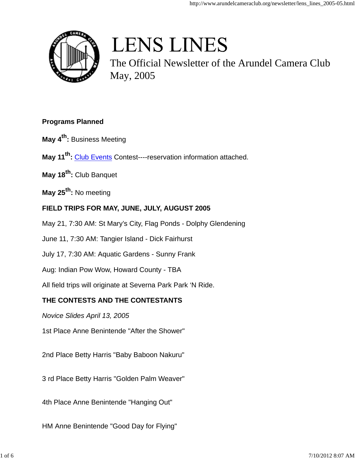

# **LENS LINES**

The Official Newsletter of the Arundel Camera Club May, 2005

## **Programs Planned**

- **May 4th :** Business Meeting
- **May 11th:** Club Events Contest----reservation information attached.
- **May 18th:** Club Banquet
- **May 25th:** No meeting

## **FIELD TRIPS FOR MAY, JUNE, JULY, AUGUST 2005**

- May 21, 7:30 AM: St Mary's City, Flag Ponds Dolphy Glendening
- June 11, 7:30 AM: Tangier Island Dick Fairhurst
- July 17, 7:30 AM: Aquatic Gardens Sunny Frank
- Aug: Indian Pow Wow, Howard County TBA
- All field trips will originate at Severna Park Park 'N Ride.

## **THE CONTESTS AND THE CONTESTANTS**

- *Novice Slides April 13, 2005*
- 1st Place Anne Benintende "After the Shower"
- 2nd Place Betty Harris "Baby Baboon Nakuru"
- 3 rd Place Betty Harris "Golden Palm Weaver"
- 4th Place Anne Benintende "Hanging Out"
- HM Anne Benintende "Good Day for Flying"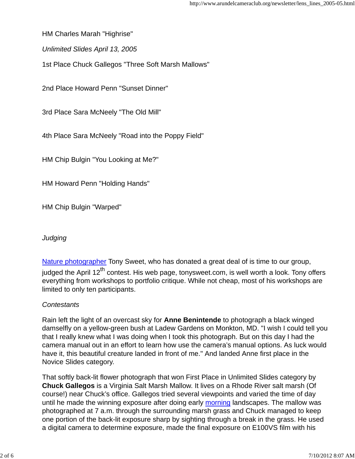HM Charles Marah "Highrise"

*Unlimited Slides April 13, 2005*

1st Place Chuck Gallegos "Three Soft Marsh Mallows"

2nd Place Howard Penn "Sunset Dinner"

3rd Place Sara McNeely "The Old Mill"

4th Place Sara McNeely "Road into the Poppy Field"

HM Chip Bulgin "You Looking at Me?"

HM Howard Penn "Holding Hands"

HM Chip Bulgin "Warped"

## *Judging*

Nature photographer Tony Sweet, who has donated a great deal of is time to our group, iudged the April  $12^{th}$  contest. His web page, tonysweet.com, is well worth a look. Tony offers everything from workshops to portfolio critique. While not cheap, most of his workshops are limited to only ten participants.

## *Contestants*

Rain left the light of an overcast sky for **Anne Benintende** to photograph a black winged damselfly on a yellow-green bush at Ladew Gardens on Monkton, MD. "I wish I could tell you that I really knew what I was doing when I took this photograph. But on this day I had the camera manual out in an effort to learn how use the camera's manual options. As luck would have it, this beautiful creature landed in front of me." And landed Anne first place in the Novice Slides category.

That softly back-lit flower photograph that won First Place in Unlimited Slides category by **Chuck Gallegos** is a Virginia Salt Marsh Mallow. It lives on a Rhode River salt marsh (Of course!) near Chuck's office. Gallegos tried several viewpoints and varied the time of day until he made the winning exposure after doing early morning landscapes. The mallow was photographed at 7 a.m. through the surrounding marsh grass and Chuck managed to keep one portion of the back-lit exposure sharp by sighting through a break in the grass. He used a digital camera to determine exposure, made the final exposure on E100VS film with his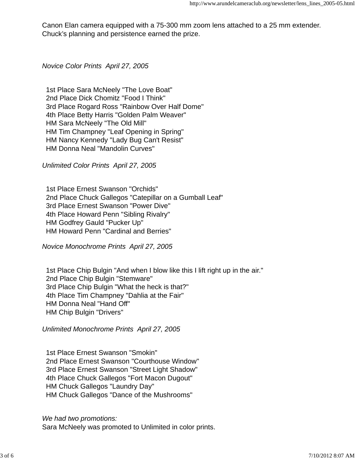Canon Elan camera equipped with a 75-300 mm zoom lens attached to a 25 mm extender. Chuck's planning and persistence earned the prize.

*Novice Color Prints April 27, 2005*

1st Place Sara McNeely "The Love Boat" 2nd Place Dick Chomitz "Food I Think" 3rd Place Rogard Ross "Rainbow Over Half Dome" 4th Place Betty Harris "Golden Palm Weaver" HM Sara McNeely "The Old Mill" HM Tim Champney "Leaf Opening in Spring" HM Nancy Kennedy "Lady Bug Can't Resist" HM Donna Neal "Mandolin Curves"

*Unlimited Color Prints April 27, 2005*

1st Place Ernest Swanson "Orchids" 2nd Place Chuck Gallegos "Catepillar on a Gumball Leaf" 3rd Place Ernest Swanson "Power Dive" 4th Place Howard Penn "Sibling Rivalry" HM Godfrey Gauld "Pucker Up" HM Howard Penn "Cardinal and Berries"

*Novice Monochrome Prints April 27, 2005*

1st Place Chip Bulgin "And when I blow like this I lift right up in the air." 2nd Place Chip Bulgin "Stemware" 3rd Place Chip Bulgin "What the heck is that?" 4th Place Tim Champney "Dahlia at the Fair" HM Donna Neal "Hand Off" HM Chip Bulgin "Drivers"

*Unlimited Monochrome Prints April 27, 2005*

1st Place Ernest Swanson "Smokin" 2nd Place Ernest Swanson "Courthouse Window" 3rd Place Ernest Swanson "Street Light Shadow" 4th Place Chuck Gallegos "Fort Macon Dugout" HM Chuck Gallegos "Laundry Day" HM Chuck Gallegos "Dance of the Mushrooms"

*We had two promotions:* Sara McNeely was promoted to Unlimited in color prints.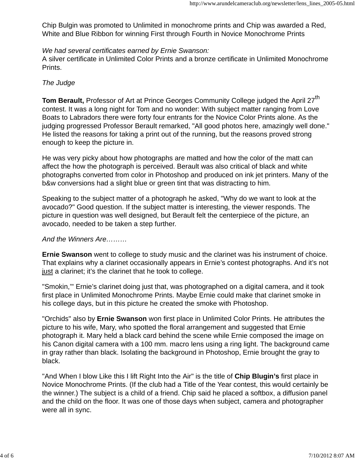Chip Bulgin was promoted to Unlimited in monochrome prints and Chip was awarded a Red, White and Blue Ribbon for winning First through Fourth in Novice Monochrome Prints

#### *We had several certificates earned by Ernie Swanson:*

A silver certificate in Unlimited Color Prints and a bronze certificate in Unlimited Monochrome Prints.

#### *The Judge*

**Tom Berault,** Professor of Art at Prince Georges Community College judged the April 27<sup>th</sup> contest. It was a long night for Tom and no wonder: With subject matter ranging from Love Boats to Labradors there were forty four entrants for the Novice Color Prints alone. As the judging progressed Professor Berault remarked, "All good photos here, amazingly well done." He listed the reasons for taking a print out of the running, but the reasons proved strong enough to keep the picture in.

He was very picky about how photographs are matted and how the color of the matt can affect the how the photograph is perceived. Berault was also critical of black and white photographs converted from color in Photoshop and produced on ink jet printers. Many of the b&w conversions had a slight blue or green tint that was distracting to him.

Speaking to the subject matter of a photograph he asked, "Why do we want to look at the avocado?" Good question. If the subject matter is interesting, the viewer responds. The picture in question was well designed, but Berault felt the centerpiece of the picture, an avocado, needed to be taken a step further.

#### *And the Winners Are………*

**Ernie Swanson** went to college to study music and the clarinet was his instrument of choice. That explains why a clarinet occasionally appears in Ernie's contest photographs. And it's not just a clarinet; it's the clarinet that he took to college.

"Smokin,'" Ernie's clarinet doing just that, was photographed on a digital camera, and it took first place in Unlimited Monochrome Prints. Maybe Ernie could make that clarinet smoke in his college days, but in this picture he created the smoke with Photoshop.

"Orchids" also by **Ernie Swanson** won first place in Unlimited Color Prints. He attributes the picture to his wife, Mary, who spotted the floral arrangement and suggested that Ernie photograph it. Mary held a black card behind the scene while Ernie composed the image on his Canon digital camera with a 100 mm. macro lens using a ring light. The background came in gray rather than black. Isolating the background in Photoshop, Ernie brought the gray to black.

"And When I blow Like this I lift Right Into the Air" is the title of **Chip Blugin's** first place in Novice Monochrome Prints. (If the club had a Title of the Year contest, this would certainly be the winner.) The subject is a child of a friend. Chip said he placed a softbox, a diffusion panel and the child on the floor. It was one of those days when subject, camera and photographer were all in sync.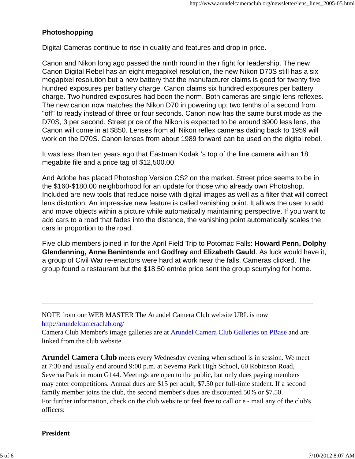### **Photoshopping**

Digital Cameras continue to rise in quality and features and drop in price.

Canon and Nikon long ago passed the ninth round in their fight for leadership. The new Canon Digital Rebel has an eight megapixel resolution, the new Nikon D70S still has a six megapixel resolution but a new battery that the manufacturer claims is good for twenty five hundred exposures per battery charge. Canon claims six hundred exposures per battery charge. Two hundred exposures had been the norm. Both cameras are single lens reflexes. The new canon now matches the Nikon D70 in powering up: two tenths of a second from "off" to ready instead of three or four seconds. Canon now has the same burst mode as the D70S, 3 per second. Street price of the Nikon is expected to be around \$900 less lens, the Canon will come in at \$850. Lenses from all Nikon reflex cameras dating back to 1959 will work on the D70S. Canon lenses from about 1989 forward can be used on the digital rebel.

It was less than ten years ago that Eastman Kodak 's top of the line camera with an 18 megabite file and a price tag of \$12,500.00.

And Adobe has placed Photoshop Version CS2 on the market. Street price seems to be in the \$160-\$180.00 neighborhood for an update for those who already own Photoshop. Included are new tools that reduce noise with digital images as well as a filter that will correct lens distortion. An impressive new feature is called vanishing point. It allows the user to add and move objects within a picture while automatically maintaining perspective. If you want to add cars to a road that fades into the distance, the vanishing point automatically scales the cars in proportion to the road.

Five club members joined in for the April Field Trip to Potomac Falls: **Howard Penn, Dolphy Glendenning, Anne Benintende** and **Godfrey** and **Elizabeth Gauld**. As luck would have it, a group of Civil War re-enactors were hard at work near the falls. Cameras clicked. The group found a restaurant but the \$18.50 entrée price sent the group scurrying for home.

NOTE from our WEB MASTER The Arundel Camera Club website URL is now http://arundelcameraclub.org/

Camera Club Member's image galleries are at Arundel Camera Club Galleries on PBase and are linked from the club website.

**Arundel Camera Club** meets every Wednesday evening when school is in session. We meet at 7:30 and usually end around 9:00 p.m. at Severna Park High School, 60 Robinson Road, Severna Park in room G144. Meetings are open to the public, but only dues paying members may enter competitions. Annual dues are \$15 per adult, \$7.50 per full-time student. If a second family member joins the club, the second member's dues are discounted 50% or \$7.50. For further information, check on the club website or feel free to call or e - mail any of the club's officers:

#### **President**